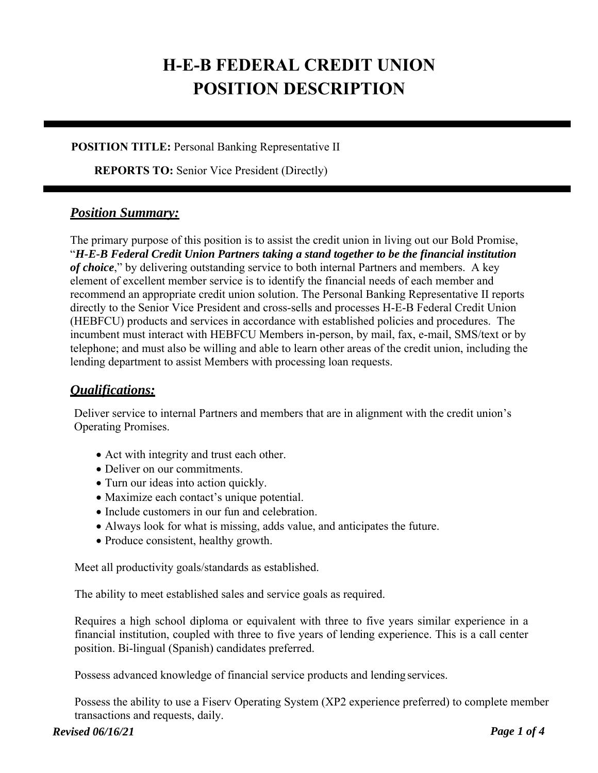# **H-E-B FEDERAL CREDIT UNION POSITION DESCRIPTION**

#### **POSITION TITLE:** Personal Banking Representative II

**REPORTS TO:** Senior Vice President (Directly)

### *Position Summary:*

The primary purpose of this position is to assist the credit union in living out our Bold Promise, "*H-E-B Federal Credit Union Partners taking a stand together to be the financial institution of choice*," by delivering outstanding service to both internal Partners and members. A key element of excellent member service is to identify the financial needs of each member and recommend an appropriate credit union solution. The Personal Banking Representative II reports directly to the Senior Vice President and cross-sells and processes H-E-B Federal Credit Union (HEBFCU) products and services in accordance with established policies and procedures. The incumbent must interact with HEBFCU Members in-person, by mail, fax, e-mail, SMS/text or by telephone; and must also be willing and able to learn other areas of the credit union, including the lending department to assist Members with processing loan requests.

## *Qualifications:*

Deliver service to internal Partners and members that are in alignment with the credit union's Operating Promises.

- Act with integrity and trust each other.
- Deliver on our commitments.
- Turn our ideas into action quickly.
- Maximize each contact's unique potential.
- Include customers in our fun and celebration.
- Always look for what is missing, adds value, and anticipates the future.
- Produce consistent, healthy growth.

Meet all productivity goals/standards as established.

The ability to meet established sales and service goals as required.

Requires a high school diploma or equivalent with three to five years similar experience in a financial institution, coupled with three to five years of lending experience. This is a call center position. Bi-lingual (Spanish) candidates preferred.

Possess advanced knowledge of financial service products and lending services.

Possess the ability to use a Fiserv Operating System (XP2 experience preferred) to complete member transactions and requests, daily.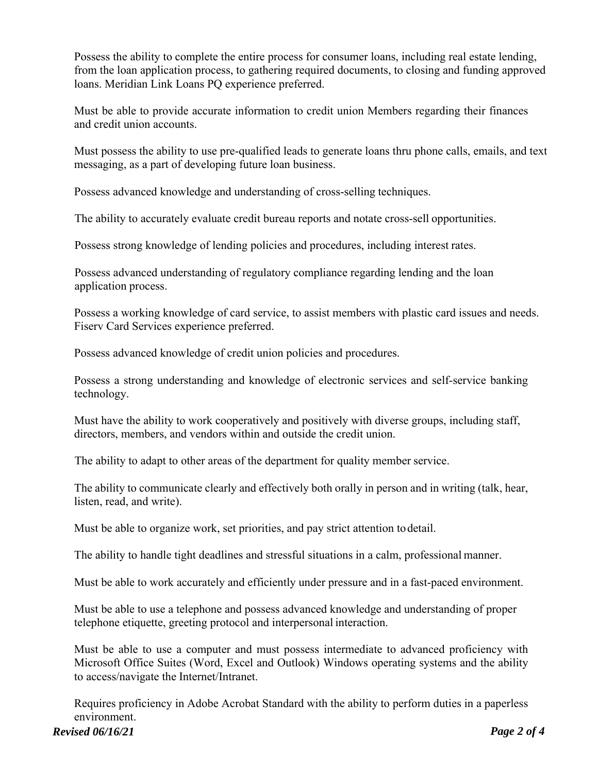Possess the ability to complete the entire process for consumer loans, including real estate lending, from the loan application process, to gathering required documents, to closing and funding approved loans. Meridian Link Loans PQ experience preferred.

Must be able to provide accurate information to credit union Members regarding their finances and credit union accounts.

Must possess the ability to use pre-qualified leads to generate loans thru phone calls, emails, and text messaging, as a part of developing future loan business.

Possess advanced knowledge and understanding of cross-selling techniques.

The ability to accurately evaluate credit bureau reports and notate cross-sell opportunities.

Possess strong knowledge of lending policies and procedures, including interest rates.

Possess advanced understanding of regulatory compliance regarding lending and the loan application process.

Possess a working knowledge of card service, to assist members with plastic card issues and needs. Fiserv Card Services experience preferred.

Possess advanced knowledge of credit union policies and procedures.

Possess a strong understanding and knowledge of electronic services and self-service banking technology.

Must have the ability to work cooperatively and positively with diverse groups, including staff, directors, members, and vendors within and outside the credit union.

The ability to adapt to other areas of the department for quality member service.

The ability to communicate clearly and effectively both orally in person and in writing (talk, hear, listen, read, and write).

Must be able to organize work, set priorities, and pay strict attention to detail.

The ability to handle tight deadlines and stressful situations in a calm, professional manner.

Must be able to work accurately and efficiently under pressure and in a fast-paced environment.

Must be able to use a telephone and possess advanced knowledge and understanding of proper telephone etiquette, greeting protocol and interpersonal interaction.

Must be able to use a computer and must possess intermediate to advanced proficiency with Microsoft Office Suites (Word, Excel and Outlook) Windows operating systems and the ability to access/navigate the Internet/Intranet.

Requires proficiency in Adobe Acrobat Standard with the ability to perform duties in a paperless environment.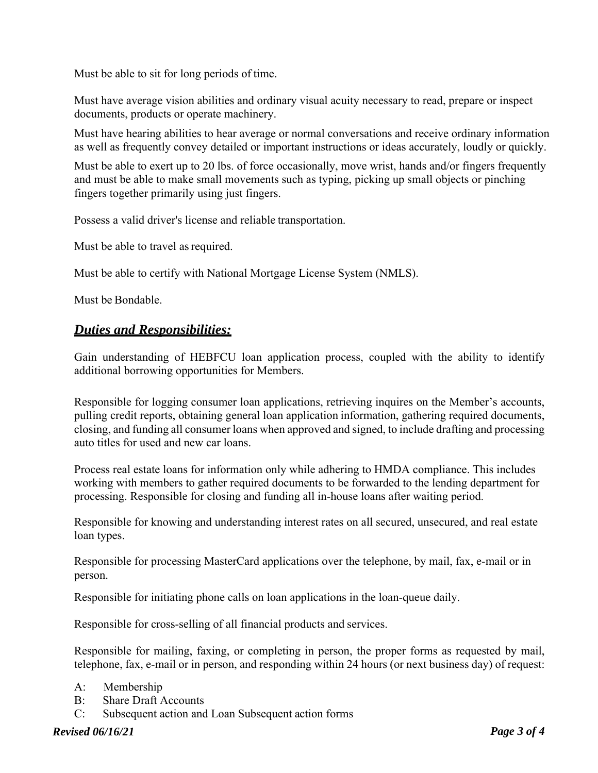Must be able to sit for long periods of time.

Must have average vision abilities and ordinary visual acuity necessary to read, prepare or inspect documents, products or operate machinery.

Must have hearing abilities to hear average or normal conversations and receive ordinary information as well as frequently convey detailed or important instructions or ideas accurately, loudly or quickly.

Must be able to exert up to 20 lbs. of force occasionally, move wrist, hands and/or fingers frequently and must be able to make small movements such as typing, picking up small objects or pinching fingers together primarily using just fingers.

Possess a valid driver's license and reliable transportation.

Must be able to travel as required.

Must be able to certify with National Mortgage License System (NMLS).

Must be Bondable.

#### *Duties and Responsibilities:*

Gain understanding of HEBFCU loan application process, coupled with the ability to identify additional borrowing opportunities for Members.

Responsible for logging consumer loan applications, retrieving inquires on the Member's accounts, pulling credit reports, obtaining general loan application information, gathering required documents, closing, and funding all consumer loans when approved and signed, to include drafting and processing auto titles for used and new car loans.

Process real estate loans for information only while adhering to HMDA compliance. This includes working with members to gather required documents to be forwarded to the lending department for processing. Responsible for closing and funding all in-house loans after waiting period.

Responsible for knowing and understanding interest rates on all secured, unsecured, and real estate loan types.

Responsible for processing MasterCard applications over the telephone, by mail, fax, e-mail or in person.

Responsible for initiating phone calls on loan applications in the loan-queue daily.

Responsible for cross-selling of all financial products and services.

Responsible for mailing, faxing, or completing in person, the proper forms as requested by mail, telephone, fax, e-mail or in person, and responding within 24 hours (or next business day) of request:

- A: Membership
- B: Share Draft Accounts
- C: Subsequent action and Loan Subsequent action forms

*Revised 06/16/21 Page 3 of 4*